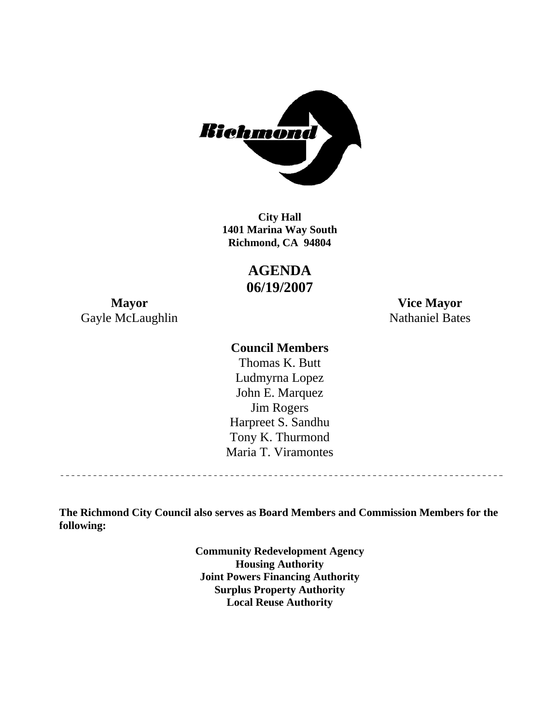

**1401 Marina Way South Richmond, CA 94804 City Hall** 

> **AGENDA 06/19/2007**

Gayle McLaughlin Nathaniel Bates

**Mayor Vice Mayor** 

## **Council Members**

Harpreet S. Sandhu Tony K. Thurmond Maria T. Viramontes Thomas K. Butt Ludmyrna Lopez John E. Marquez Jim Rogers

**The Richmond City Council also serves as Board Members and Commission Members for the following:** 

> **Community Redevelopment Agency Housing Authority Joint Powers Financing Authority Surplus Property Authority Local Reuse Authority**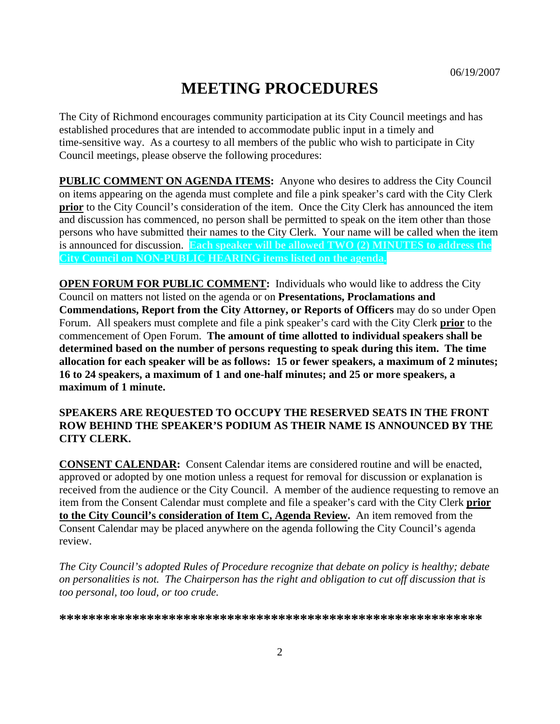# **MEETING PROCEDURES**

The City of Richmond encourages community participation at its City Council meetings and has established procedures that are intended to accommodate public input in a timely and time-sensitive way. As a courtesy to all members of the public who wish to participate in City Council meetings, please observe the following procedures:

**PUBLIC COMMENT ON AGENDA ITEMS:** Anyone who desires to address the City Council on items appearing on the agenda must complete and file a pink speaker's card with the City Clerk **prior** to the City Council's consideration of the item. Once the City Clerk has announced the item and discussion has commenced, no person shall be permitted to speak on the item other than those persons who have submitted their names to the City Clerk. Your name will be called when the item is announced for discussion. **Each speaker will be allowed TWO (2) MINUTES to address the City Council on NON-PUBLIC HEARING items listed on the agenda.** 

**OPEN FORUM FOR PUBLIC COMMENT:** Individuals who would like to address the City Council on matters not listed on the agenda or on **Presentations, Proclamations and Commendations, Report from the City Attorney, or Reports of Officers** may do so under Open Forum. All speakers must complete and file a pink speaker's card with the City Clerk **prior** to the commencement of Open Forum. **The amount of time allotted to individual speakers shall be determined based on the number of persons requesting to speak during this item. The time allocation for each speaker will be as follows: 15 or fewer speakers, a maximum of 2 minutes; 16 to 24 speakers, a maximum of 1 and one-half minutes; and 25 or more speakers, a maximum of 1 minute.** 

#### **SPEAKERS ARE REQUESTED TO OCCUPY THE RESERVED SEATS IN THE FRONT ROW BEHIND THE SPEAKER'S PODIUM AS THEIR NAME IS ANNOUNCED BY THE CITY CLERK.**

**CONSENT CALENDAR:** Consent Calendar items are considered routine and will be enacted, approved or adopted by one motion unless a request for removal for discussion or explanation is received from the audience or the City Council. A member of the audience requesting to remove an item from the Consent Calendar must complete and file a speaker's card with the City Clerk **prior to the City Council's consideration of Item C, Agenda Review.** An item removed from the Consent Calendar may be placed anywhere on the agenda following the City Council's agenda review.

*The City Council's adopted Rules of Procedure recognize that debate on policy is healthy; debate on personalities is not. The Chairperson has the right and obligation to cut off discussion that is too personal, too loud, or too crude.* 

**\*\*\*\*\*\*\*\*\*\*\*\*\*\*\*\*\*\*\*\*\*\*\*\*\*\*\*\*\*\*\*\*\*\*\*\*\*\*\*\*\*\*\*\*\*\*\*\*\*\*\*\*\*\*\*\*\*\***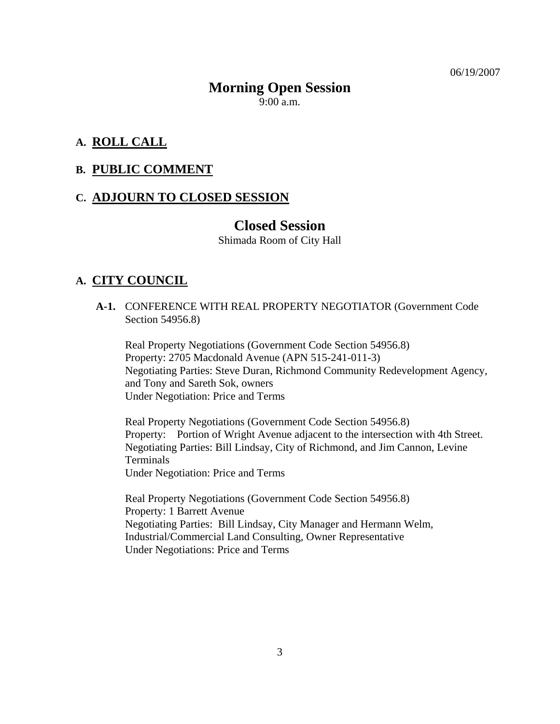06/19/2007

# **Morning Open Session**

 $9:00$  a.m.

## **A. ROLL CALL**

### **B. PUBLIC COMMENT**

## **C. ADJOURN TO CLOSED SESSION**

## **Closed Session**

Shimada Room of City Hall

## **A. CITY COUNCIL**

 **A-1.** CONFERENCE WITH REAL PROPERTY NEGOTIATOR (Government Code Section 54956.8)

Real Property Negotiations (Government Code Section 54956.8) Property: 2705 Macdonald Avenue (APN 515-241-011-3) Negotiating Parties: Steve Duran, Richmond Community Redevelopment Agency, and Tony and Sareth Sok, owners Under Negotiation: Price and Terms

Real Property Negotiations (Government Code Section 54956.8) Property: Portion of Wright Avenue adjacent to the intersection with 4th Street. Negotiating Parties: Bill Lindsay, City of Richmond, and Jim Cannon, Levine Terminals Under Negotiation: Price and Terms

Real Property Negotiations (Government Code Section 54956.8) Property: 1 Barrett Avenue Negotiating Parties: Bill Lindsay, City Manager and Hermann Welm, Industrial/Commercial Land Consulting, Owner Representative Under Negotiations: Price and Terms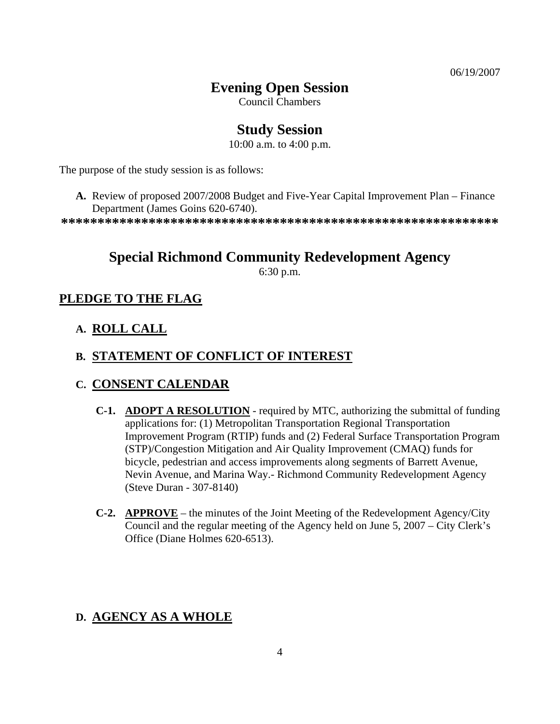06/19/2007

## **Evening Open Session**

Council Chambers

# **Study Session**

10:00 a.m. to 4:00 p.m.

The purpose of the study session is as follows:

**A.** Review of proposed 2007/2008 Budget and Five-Year Capital Improvement Plan – Finance Department (James Goins 620-6740).

**\*\*\*\*\*\*\*\*\*\*\*\*\*\*\*\*\*\*\*\*\*\*\*\*\*\*\*\*\*\*\*\*\*\*\*\*\*\*\*\*\*\*\*\*\*\*\*\*\*\*\*\*\*\*\*\*\*\*\*\*** 

# **Special Richmond Community Redevelopment Agency**

6:30 p.m.

## **PLEDGE TO THE FLAG**

**A. ROLL CALL**

## **B. STATEMENT OF CONFLICT OF INTEREST**

## **C. CONSENT CALENDAR**

- **C-1. ADOPT A RESOLUTION** required by MTC, authorizing the submittal of funding applications for: (1) Metropolitan Transportation Regional Transportation Improvement Program (RTIP) funds and (2) Federal Surface Transportation Program (STP)/Congestion Mitigation and Air Quality Improvement (CMAQ) funds for bicycle, pedestrian and access improvements along segments of Barrett Avenue, Nevin Avenue, and Marina Way.- Richmond Community Redevelopment Agency (Steve Duran - 307-8140)
- **C-2. APPROVE** the minutes of the Joint Meeting of the Redevelopment Agency/City Council and the regular meeting of the Agency held on June 5, 2007 – City Clerk's Office (Diane Holmes 620-6513).

## **D. AGENCY AS A WHOLE**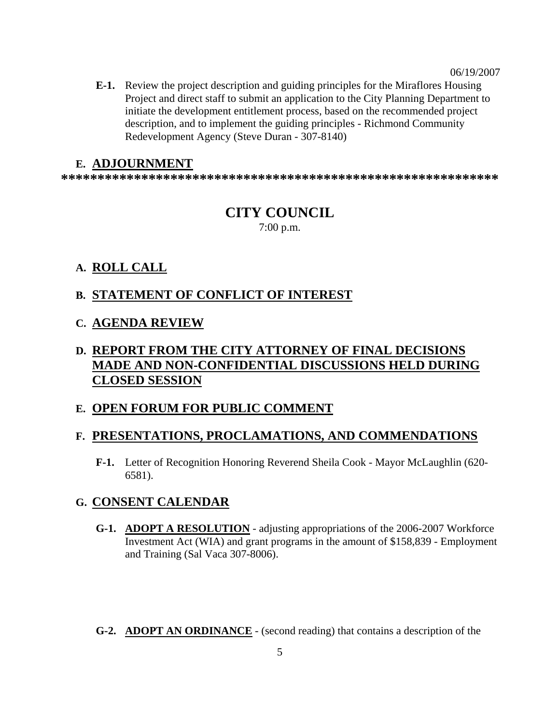**E-1.** Review the project description and guiding principles for the Miraflores Housing Project and direct staff to submit an application to the City Planning Department to initiate the development entitlement process, based on the recommended project description, and to implement the guiding principles - Richmond Community Redevelopment Agency (Steve Duran - 307-8140)

#### **E. ADJOURNMENT**

**\*\*\*\*\*\*\*\*\*\*\*\*\*\*\*\*\*\*\*\*\*\*\*\*\*\*\*\*\*\*\*\*\*\*\*\*\*\*\*\*\*\*\*\*\*\*\*\*\*\*\*\*\*\*\*\*\*\*\*\*** 

## **CITY COUNCIL**  7:00 p.m.

### **A. ROLL CALL**

### **B. STATEMENT OF CONFLICT OF INTEREST**

#### **C. AGENDA REVIEW**

# **D. REPORT FROM THE CITY ATTORNEY OF FINAL DECISIONS MADE AND NON-CONFIDENTIAL DISCUSSIONS HELD DURING CLOSED SESSION**

#### **E. OPEN FORUM FOR PUBLIC COMMENT**

#### **F. PRESENTATIONS, PROCLAMATIONS, AND COMMENDATIONS**

 **F-1.** Letter of Recognition Honoring Reverend Sheila Cook - Mayor McLaughlin (620- 6581).

#### **G. CONSENT CALENDAR**

- **G-1. ADOPT A RESOLUTION** adjusting appropriations of the 2006-2007 Workforce Investment Act (WIA) and grant programs in the amount of \$158,839 - Employment and Training (Sal Vaca 307-8006).
- **G-2. ADOPT AN ORDINANCE** (second reading) that contains a description of the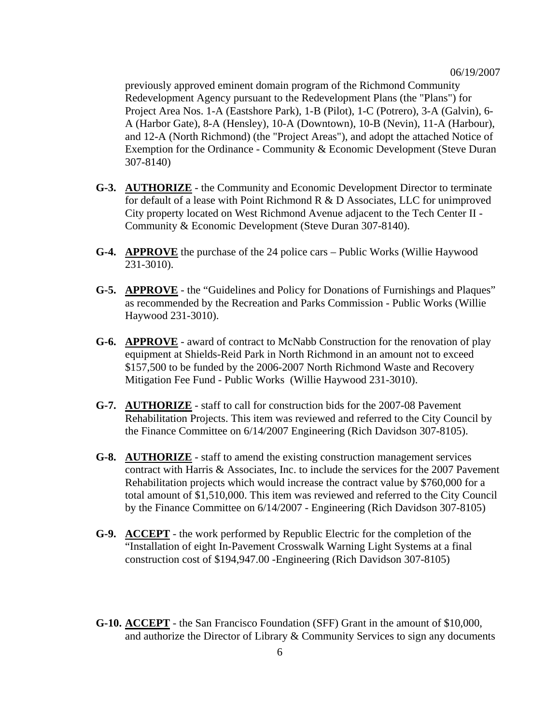previously approved eminent domain program of the Richmond Community Redevelopment Agency pursuant to the Redevelopment Plans (the "Plans") for Project Area Nos. 1-A (Eastshore Park), 1-B (Pilot), 1-C (Potrero), 3-A (Galvin), 6- A (Harbor Gate), 8-A (Hensley), 10-A (Downtown), 10-B (Nevin), 11-A (Harbour), and 12-A (North Richmond) (the "Project Areas"), and adopt the attached Notice of Exemption for the Ordinance - Community & Economic Development (Steve Duran 307-8140)

- **G-3. AUTHORIZE** the Community and Economic Development Director to terminate for default of a lease with Point Richmond R & D Associates, LLC for unimproved City property located on West Richmond Avenue adjacent to the Tech Center II - Community & Economic Development (Steve Duran 307-8140).
- **G-4. APPROVE** the purchase of the 24 police cars Public Works (Willie Haywood 231-3010).
- **G-5. APPROVE** the "Guidelines and Policy for Donations of Furnishings and Plaques" as recommended by the Recreation and Parks Commission - Public Works (Willie Haywood 231-3010).
- **G-6. APPROVE** award of contract to McNabb Construction for the renovation of play equipment at Shields-Reid Park in North Richmond in an amount not to exceed \$157,500 to be funded by the 2006-2007 North Richmond Waste and Recovery Mitigation Fee Fund - Public Works (Willie Haywood 231-3010).
- **G-7. AUTHORIZE** staff to call for construction bids for the 2007-08 Pavement Rehabilitation Projects. This item was reviewed and referred to the City Council by the Finance Committee on 6/14/2007 Engineering (Rich Davidson 307-8105).
- **G-8. AUTHORIZE** staff to amend the existing construction management services contract with Harris & Associates, Inc. to include the services for the 2007 Pavement Rehabilitation projects which would increase the contract value by \$760,000 for a total amount of \$1,510,000. This item was reviewed and referred to the City Council by the Finance Committee on 6/14/2007 - Engineering (Rich Davidson 307-8105)
- **G-9. ACCEPT** the work performed by Republic Electric for the completion of the "Installation of eight In-Pavement Crosswalk Warning Light Systems at a final construction cost of \$194,947.00 -Engineering (Rich Davidson 307-8105)
- **G-10. ACCEPT** the San Francisco Foundation (SFF) Grant in the amount of \$10,000, and authorize the Director of Library & Community Services to sign any documents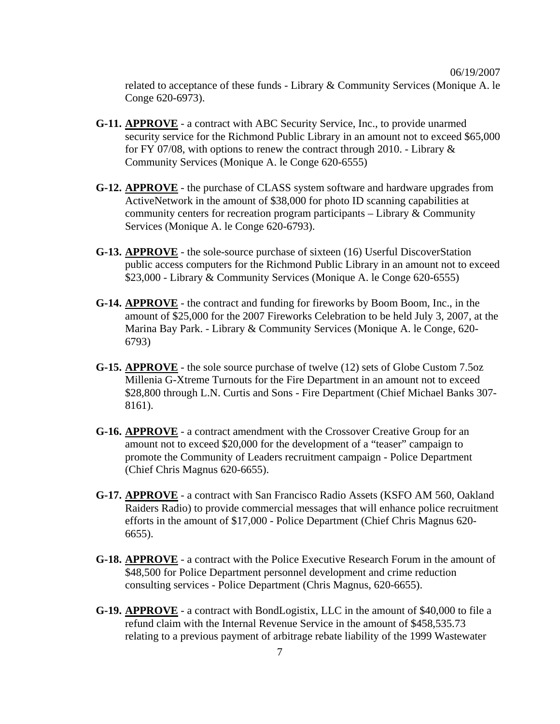related to acceptance of these funds - Library & Community Services (Monique A. le Conge 620-6973).

- **G-11. APPROVE** a contract with ABC Security Service, Inc., to provide unarmed security service for the Richmond Public Library in an amount not to exceed \$65,000 for FY 07/08, with options to renew the contract through 2010. - Library  $\&$ Community Services (Monique A. le Conge 620-6555)
- **G-12. APPROVE** the purchase of CLASS system software and hardware upgrades from ActiveNetwork in the amount of \$38,000 for photo ID scanning capabilities at community centers for recreation program participants – Library & Community Services (Monique A. le Conge 620-6793).
- **G-13. APPROVE** the sole-source purchase of sixteen (16) Userful DiscoverStation public access computers for the Richmond Public Library in an amount not to exceed \$23,000 - Library & Community Services (Monique A. le Conge 620-6555)
- **G-14. APPROVE** the contract and funding for fireworks by Boom Boom, Inc., in the amount of \$25,000 for the 2007 Fireworks Celebration to be held July 3, 2007, at the Marina Bay Park. - Library & Community Services (Monique A. le Conge, 620- 6793)
- **G-15. APPROVE** the sole source purchase of twelve (12) sets of Globe Custom 7.5oz Millenia G-Xtreme Turnouts for the Fire Department in an amount not to exceed \$28,800 through L.N. Curtis and Sons - Fire Department (Chief Michael Banks 307-8161).
- **G-16. APPROVE** a contract amendment with the Crossover Creative Group for an amount not to exceed \$20,000 for the development of a "teaser" campaign to promote the Community of Leaders recruitment campaign - Police Department (Chief Chris Magnus 620-6655).
- **G-17. APPROVE** a contract with San Francisco Radio Assets (KSFO AM 560, Oakland Raiders Radio) to provide commercial messages that will enhance police recruitment efforts in the amount of \$17,000 - Police Department (Chief Chris Magnus 620- 6655).
- **G-18. APPROVE** a contract with the Police Executive Research Forum in the amount of \$48,500 for Police Department personnel development and crime reduction consulting services - Police Department (Chris Magnus, 620-6655).
- **G-19. APPROVE** a contract with BondLogistix, LLC in the amount of \$40,000 to file a refund claim with the Internal Revenue Service in the amount of \$458,535.73 relating to a previous payment of arbitrage rebate liability of the 1999 Wastewater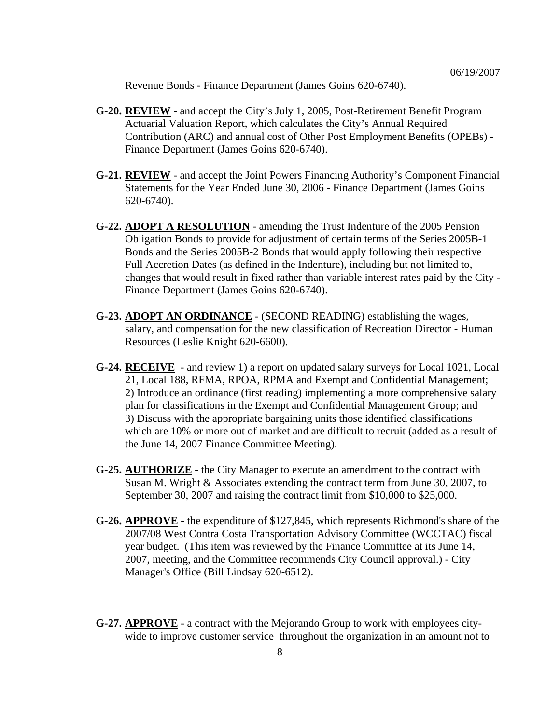Revenue Bonds - Finance Department (James Goins 620-6740).

- **G-20. REVIEW** and accept the City's July 1, 2005, Post-Retirement Benefit Program Actuarial Valuation Report, which calculates the City's Annual Required Contribution (ARC) and annual cost of Other Post Employment Benefits (OPEBs) - Finance Department (James Goins 620-6740).
- **G-21. REVIEW** and accept the Joint Powers Financing Authority's Component Financial Statements for the Year Ended June 30, 2006 - Finance Department (James Goins 620-6740).
- **G-22. ADOPT A RESOLUTION** amending the Trust Indenture of the 2005 Pension Obligation Bonds to provide for adjustment of certain terms of the Series 2005B-1 Bonds and the Series 2005B-2 Bonds that would apply following their respective Full Accretion Dates (as defined in the Indenture), including but not limited to, changes that would result in fixed rather than variable interest rates paid by the City - Finance Department (James Goins 620-6740).
- **G-23. ADOPT AN ORDINANCE** (SECOND READING) establishing the wages, salary, and compensation for the new classification of Recreation Director - Human Resources (Leslie Knight 620-6600).
- **G-24. RECEIVE** and review 1) a report on updated salary surveys for Local 1021, Local 21, Local 188, RFMA, RPOA, RPMA and Exempt and Confidential Management; 2) Introduce an ordinance (first reading) implementing a more comprehensive salary plan for classifications in the Exempt and Confidential Management Group; and 3) Discuss with the appropriate bargaining units those identified classifications which are 10% or more out of market and are difficult to recruit (added as a result of the June 14, 2007 Finance Committee Meeting).
- **G-25. AUTHORIZE** the City Manager to execute an amendment to the contract with Susan M. Wright & Associates extending the contract term from June 30, 2007, to September 30, 2007 and raising the contract limit from \$10,000 to \$25,000.
- **G-26. APPROVE** the expenditure of \$127,845, which represents Richmond's share of the 2007/08 West Contra Costa Transportation Advisory Committee (WCCTAC) fiscal year budget. (This item was reviewed by the Finance Committee at its June 14, 2007, meeting, and the Committee recommends City Council approval.) - City Manager's Office (Bill Lindsay 620-6512).
- **G-27. APPROVE** a contract with the Mejorando Group to work with employees citywide to improve customer service throughout the organization in an amount not to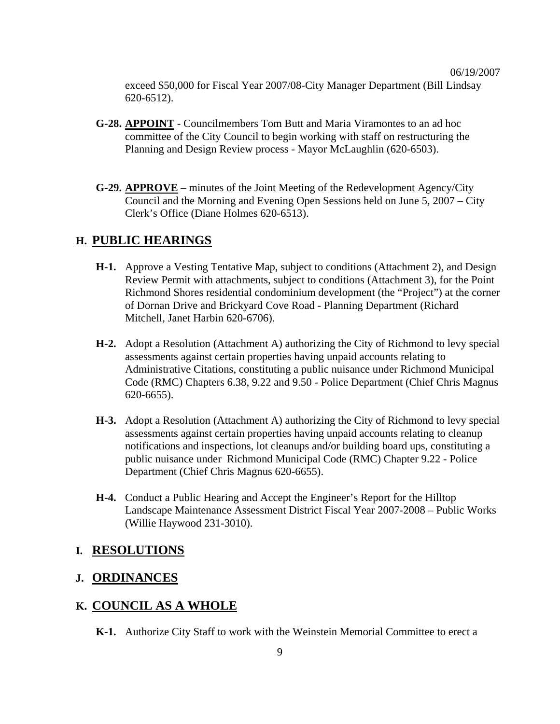exceed \$50,000 for Fiscal Year 2007/08-City Manager Department (Bill Lindsay 620-6512).

- **G-28. APPOINT** Councilmembers Tom Butt and Maria Viramontes to an ad hoc committee of the City Council to begin working with staff on restructuring the Planning and Design Review process - Mayor McLaughlin (620-6503).
- **G-29. APPROVE** minutes of the Joint Meeting of the Redevelopment Agency/City Council and the Morning and Evening Open Sessions held on June 5, 2007 – City Clerk's Office (Diane Holmes 620-6513).

## **H. PUBLIC HEARINGS**

- **H-1.** Approve a Vesting Tentative Map, subject to conditions (Attachment 2), and Design Review Permit with attachments, subject to conditions (Attachment 3), for the Point Richmond Shores residential condominium development (the "Project") at the corner of Dornan Drive and Brickyard Cove Road - Planning Department (Richard Mitchell, Janet Harbin 620-6706).
- **H-2.** Adopt a Resolution (Attachment A) authorizing the City of Richmond to levy special assessments against certain properties having unpaid accounts relating to Administrative Citations, constituting a public nuisance under Richmond Municipal Code (RMC) Chapters 6.38, 9.22 and 9.50 - Police Department (Chief Chris Magnus 620-6655).
- **H-3.** Adopt a Resolution (Attachment A) authorizing the City of Richmond to levy special assessments against certain properties having unpaid accounts relating to cleanup notifications and inspections, lot cleanups and/or building board ups, constituting a public nuisance under Richmond Municipal Code (RMC) Chapter 9.22 - Police Department (Chief Chris Magnus 620-6655).
- **H-4.** Conduct a Public Hearing and Accept the Engineer's Report for the Hilltop Landscape Maintenance Assessment District Fiscal Year 2007-2008 – Public Works (Willie Haywood 231-3010).

### **I. RESOLUTIONS**

## **J. ORDINANCES**

#### **K. COUNCIL AS A WHOLE**

 **K-1.** Authorize City Staff to work with the Weinstein Memorial Committee to erect a